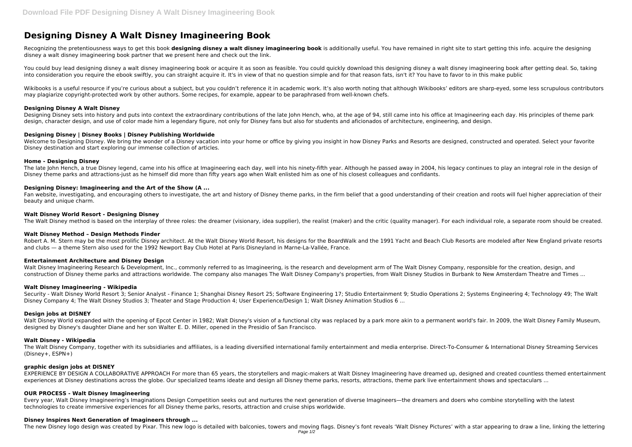# **Designing Disney A Walt Disney Imagineering Book**

Recognizing the pretentiousness ways to get this book designing disney a walt disney imagineering book is additionally useful. You have remained in right site to start getting this info. acquire the designing disney a walt disney imagineering book partner that we present here and check out the link.

You could buy lead designing disney a walt disney imagineering book or acquire it as soon as feasible. You could quickly download this designing disney a walt disney imagineering book after getting deal. So, taking into consideration you require the ebook swiftly, you can straight acquire it. It's in view of that no question simple and for that reason fats, isn't it? You have to favor to in this make public

Wikibooks is a useful resource if you're curious about a subject, but you couldn't reference it in academic work. It's also worth noting that although Wikibooks' editors are sharp-eyed, some less scrupulous contributors may plagiarize copyright-protected work by other authors. Some recipes, for example, appear to be paraphrased from well-known chefs.

Designing Disney sets into history and puts into context the extraordinary contributions of the late John Hench, who, at the age of 94, still came into his office at Imagineering each day. His principles of theme park design, character design, and use of color made him a legendary figure, not only for Disney fans but also for students and aficionados of architecture, engineering, and design.

Welcome to Designing Disney. We bring the wonder of a Disney vacation into your home or office by giving you insight in how Disney Parks and Resorts are designed, constructed and operated. Select your favorite Disney destination and start exploring our immense collection of articles.

The late John Hench, a true Disney legend, came into his office at Imagineering each day, well into his ninety-fifth year. Although he passed away in 2004, his legacy continues to play an integral role in the design of Disney theme parks and attractions-just as he himself did more than fifty years ago when Walt enlisted him as one of his closest colleagues and confidants.

## **Designing Disney A Walt Disney**

Fan website, investigating, and encouraging others to investigate, the art and history of Disney theme parks, in the firm belief that a good understanding of their creation and roots will fuel higher appreciation of their beauty and unique charm.

# **Designing Disney | Disney Books | Disney Publishing Worldwide**

Robert A. M. Stern may be the most prolific Disney architect. At the Walt Disney World Resort, his designs for the BoardWalk and the 1991 Yacht and Beach Club Resorts are modeled after New England private resorts and clubs — a theme Stern also used for the 1992 Newport Bay Club Hotel at Paris Disneyland in Marne-La-Vallée, France.

Walt Disney Imagineering Research & Development, Inc., commonly referred to as Imagineering, is the research and development arm of The Walt Disney Company, responsible for the creation, design, and construction of Disney theme parks and attractions worldwide. The company also manages The Walt Disney Company's properties, from Walt Disney Studios in Burbank to New Amsterdam Theatre and Times ...

#### **Home - Designing Disney**

Walt Disney World expanded with the opening of Epcot Center in 1982; Walt Disney's vision of a functional city was replaced by a park more akin to a permanent world's fair. In 2009, the Walt Disney Family Museum, designed by Disney's daughter Diane and her son Walter E. D. Miller, opened in the Presidio of San Francisco.

The Walt Disney Company, together with its subsidiaries and affiliates, is a leading diversified international family entertainment and media enterprise. Direct-To-Consumer & International Disney Streaming Services (Disney+, ESPN+)

# **Designing Disney: Imagineering and the Art of the Show (A ...**

EXPERIENCE BY DESIGN A COLLABORATIVE APPROACH For more than 65 years, the storytellers and magic-makers at Walt Disney Imagineering have dreamed up, designed and created countless themed entertainment experiences at Disney destinations across the globe. Our specialized teams ideate and design all Disney theme parks, resorts, attractions, theme park live entertainment shows and spectaculars ...

#### **Walt Disney World Resort - Designing Disney**

The Walt Disney method is based on the interplay of three roles: the dreamer (visionary, idea supplier), the realist (maker) and the critic (quality manager). For each individual role, a separate room should be created.

# **Walt Disney Method – Design Methods Finder**

# **Entertainment Architecture and Disney Design**

# **Walt Disney Imagineering - Wikipedia**

Security - Walt Disney World Resort 3; Senior Analyst - Finance 1; Shanghai Disney Resort 25; Software Engineering 17; Studio Entertainment 9; Studio Operations 2; Systems Engineering 4; Technology 49; The Walt Disney Company 4; The Walt Disney Studios 3; Theater and Stage Production 4; User Experience/Design 1; Walt Disney Animation Studios 6 ...

#### **Design jobs at DISNEY**

# **Walt Disney - Wikipedia**

# **graphic design jobs at DISNEY**

# **OUR PROCESS - Walt Disney Imagineering**

Every year, Walt Disney Imagineering's Imaginations Design Competition seeks out and nurtures the next generation of diverse Imagineers—the dreamers and doers who combine storytelling with the latest technologies to create immersive experiences for all Disney theme parks, resorts, attraction and cruise ships worldwide.

# **Disney Inspires Next Generation of Imagineers through ...**

The new Disney logo design was created by Pixar. This new logo is detailed with balconies, towers and moving flags. Disney's font reveals 'Walt Disney Pictures' with a star appearing to draw a line, linking the lettering